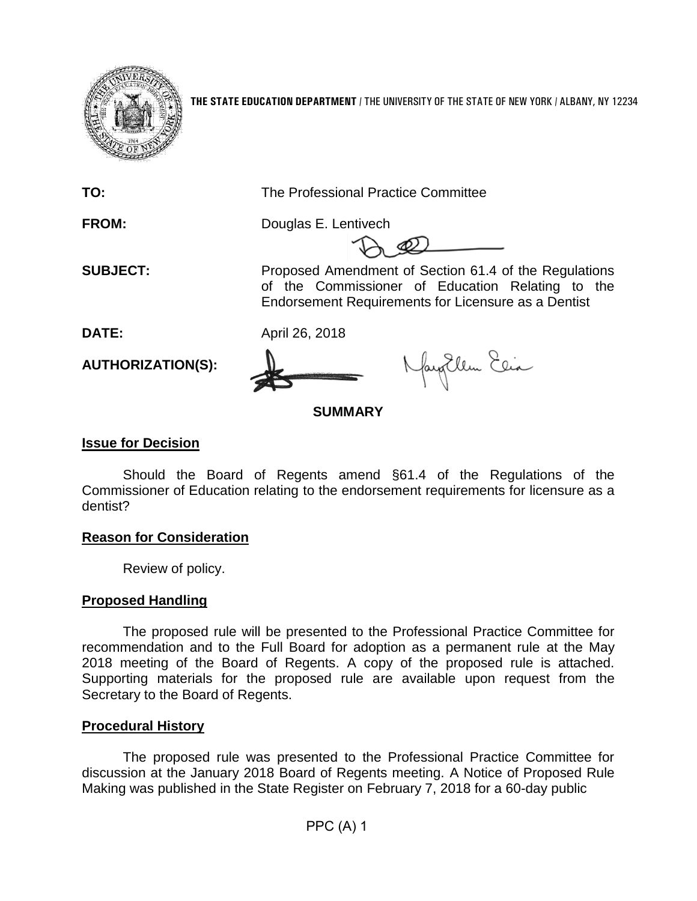

**THE STATE EDUCATION DEPARTMENT** / THE UNIVERSITY OF THE STATE OF NEW YORK / ALBANY, NY 12234

**TO:** The Professional Practice Committee

**FROM:** Douglas E. Lentivech

**SUBJECT:** Proposed Amendment of Section 61.4 of the Regulations of the Commissioner of Education Relating to the Endorsement Requirements for Licensure as a Dentist

**DATE:** April 26, 2018

**AUTHORIZATION(S):**

fayEllen Elia

**SUMMARY**

# **Issue for Decision**

Should the Board of Regents amend §61.4 of the Regulations of the Commissioner of Education relating to the endorsement requirements for licensure as a dentist?

## **Reason for Consideration**

Review of policy.

## **Proposed Handling**

The proposed rule will be presented to the Professional Practice Committee for recommendation and to the Full Board for adoption as a permanent rule at the May 2018 meeting of the Board of Regents. A copy of the proposed rule is attached. Supporting materials for the proposed rule are available upon request from the Secretary to the Board of Regents.

## **Procedural History**

The proposed rule was presented to the Professional Practice Committee for discussion at the January 2018 Board of Regents meeting. A Notice of Proposed Rule Making was published in the State Register on February 7, 2018 for a 60-day public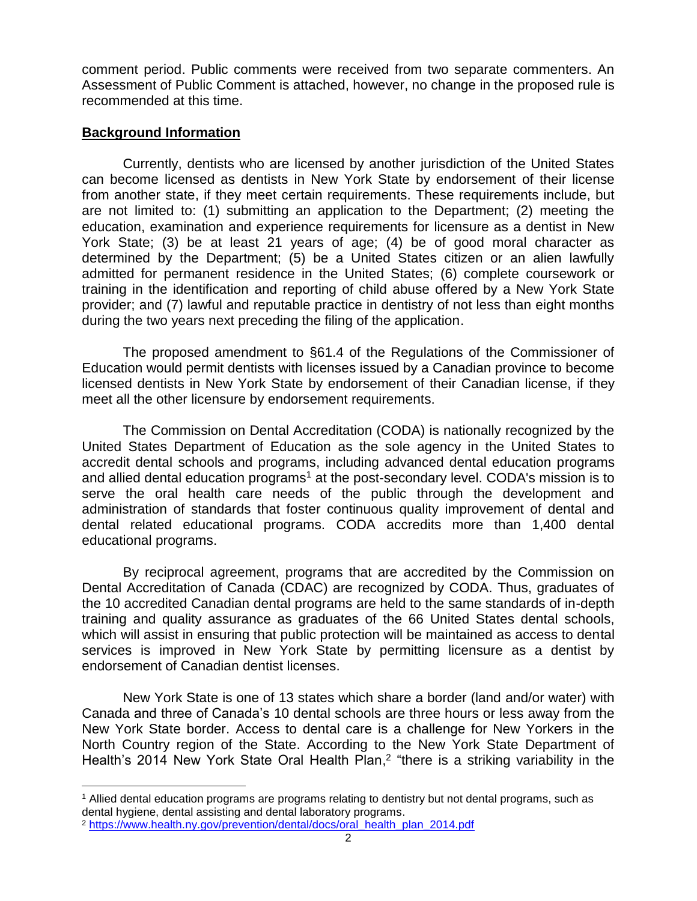comment period. Public comments were received from two separate commenters. An Assessment of Public Comment is attached, however, no change in the proposed rule is recommended at this time.

### **Background Information**

Currently, dentists who are licensed by another jurisdiction of the United States can become licensed as dentists in New York State by endorsement of their license from another state, if they meet certain requirements. These requirements include, but are not limited to: (1) submitting an application to the Department; (2) meeting the education, examination and experience requirements for licensure as a dentist in New York State; (3) be at least 21 years of age; (4) be of good moral character as determined by the Department; (5) be a United States citizen or an alien lawfully admitted for permanent residence in the United States; (6) complete coursework or training in the identification and reporting of child abuse offered by a New York State provider; and (7) lawful and reputable practice in dentistry of not less than eight months during the two years next preceding the filing of the application.

The proposed amendment to §61.4 of the Regulations of the Commissioner of Education would permit dentists with licenses issued by a Canadian province to become licensed dentists in New York State by endorsement of their Canadian license, if they meet all the other licensure by endorsement requirements.

The Commission on Dental Accreditation (CODA) is nationally recognized by the United States Department of Education as the sole agency in the United States to accredit dental schools and programs, including advanced dental education programs and allied dental education programs<sup>1</sup> at the post-secondary level. CODA's mission is to serve the oral health care needs of the public through the development and administration of standards that foster continuous quality improvement of dental and dental related educational programs. CODA accredits more than 1,400 dental educational programs.

By reciprocal agreement, programs that are accredited by the Commission on Dental Accreditation of Canada (CDAC) are recognized by CODA. Thus, graduates of the 10 accredited Canadian dental programs are held to the same standards of in-depth training and quality assurance as graduates of the 66 United States dental schools, which will assist in ensuring that public protection will be maintained as access to dental services is improved in New York State by permitting licensure as a dentist by endorsement of Canadian dentist licenses.

New York State is one of 13 states which share a border (land and/or water) with Canada and three of Canada's 10 dental schools are three hours or less away from the New York State border. Access to dental care is a challenge for New Yorkers in the North Country region of the State. According to the New York State Department of Health's 2014 New York State Oral Health Plan,<sup>2</sup> "there is a striking variability in the

 $\overline{a}$ 

<sup>1</sup> Allied dental education programs are programs relating to dentistry but not dental programs, such as dental hygiene, dental assisting and dental laboratory programs.

<sup>2</sup> [https://www.health.ny.gov/prevention/dental/docs/oral\\_health\\_plan\\_2014.pdf](https://www.health.ny.gov/prevention/dental/docs/oral_health_plan_2014.pdf)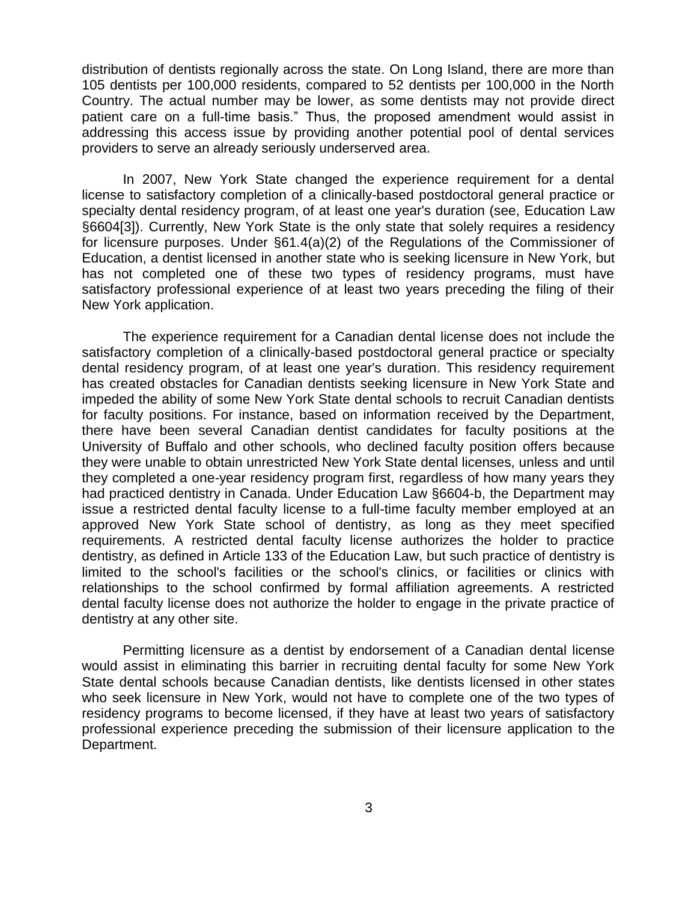distribution of dentists regionally across the state. On Long Island, there are more than 105 dentists per 100,000 residents, compared to 52 dentists per 100,000 in the North Country. The actual number may be lower, as some dentists may not provide direct patient care on a full-time basis." Thus, the proposed amendment would assist in addressing this access issue by providing another potential pool of dental services providers to serve an already seriously underserved area.

In 2007, New York State changed the experience requirement for a dental license to satisfactory completion of a clinically-based postdoctoral general practice or specialty dental residency program, of at least one year's duration (see, Education Law §6604[3]). Currently, New York State is the only state that solely requires a residency for licensure purposes. Under §61.4(a)(2) of the Regulations of the Commissioner of Education, a dentist licensed in another state who is seeking licensure in New York, but has not completed one of these two types of residency programs, must have satisfactory professional experience of at least two years preceding the filing of their New York application.

The experience requirement for a Canadian dental license does not include the satisfactory completion of a clinically-based postdoctoral general practice or specialty dental residency program, of at least one year's duration. This residency requirement has created obstacles for Canadian dentists seeking licensure in New York State and impeded the ability of some New York State dental schools to recruit Canadian dentists for faculty positions. For instance, based on information received by the Department, there have been several Canadian dentist candidates for faculty positions at the University of Buffalo and other schools, who declined faculty position offers because they were unable to obtain unrestricted New York State dental licenses, unless and until they completed a one-year residency program first, regardless of how many years they had practiced dentistry in Canada. Under Education Law §6604-b, the Department may issue a restricted dental faculty license to a full-time faculty member employed at an approved New York State school of dentistry, as long as they meet specified requirements. A restricted dental faculty license authorizes the holder to practice dentistry, as defined in Article 133 of the Education Law, but such practice of dentistry is limited to the school's facilities or the school's clinics, or facilities or clinics with relationships to the school confirmed by formal affiliation agreements. A restricted dental faculty license does not authorize the holder to engage in the private practice of dentistry at any other site.

Permitting licensure as a dentist by endorsement of a Canadian dental license would assist in eliminating this barrier in recruiting dental faculty for some New York State dental schools because Canadian dentists, like dentists licensed in other states who seek licensure in New York, would not have to complete one of the two types of residency programs to become licensed, if they have at least two years of satisfactory professional experience preceding the submission of their licensure application to the Department.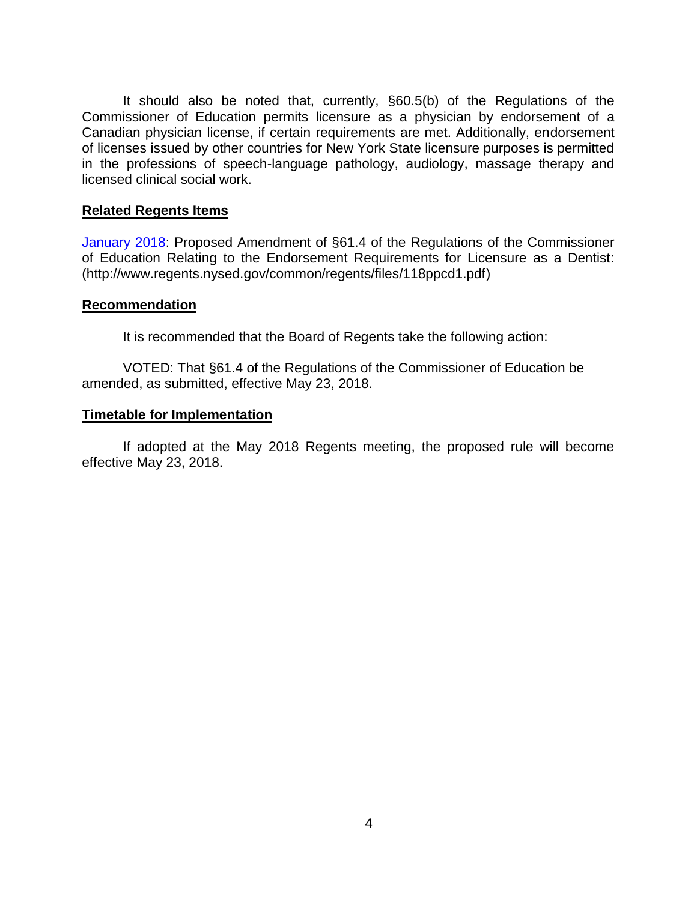It should also be noted that, currently, §60.5(b) of the Regulations of the Commissioner of Education permits licensure as a physician by endorsement of a Canadian physician license, if certain requirements are met. Additionally, endorsement of licenses issued by other countries for New York State licensure purposes is permitted in the professions of speech-language pathology, audiology, massage therapy and licensed clinical social work.

#### **Related Regents Items**

[January 2018:](http://www.regents.nysed.gov/common/regents/files/118ppcd1.pdf) Proposed Amendment of §61.4 of the Regulations of the Commissioner of Education Relating to the Endorsement Requirements for Licensure as a Dentist: (http://www.regents.nysed.gov/common/regents/files/118ppcd1.pdf)

#### **Recommendation**

It is recommended that the Board of Regents take the following action:

VOTED: That §61.4 of the Regulations of the Commissioner of Education be amended, as submitted, effective May 23, 2018.

#### **Timetable for Implementation**

If adopted at the May 2018 Regents meeting, the proposed rule will become effective May 23, 2018.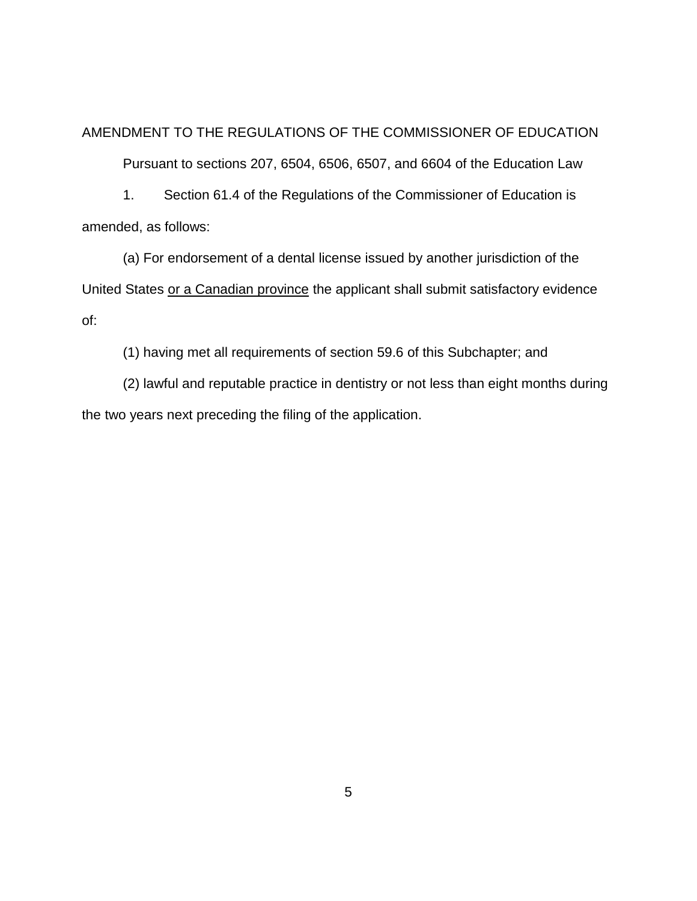AMENDMENT TO THE REGULATIONS OF THE COMMISSIONER OF EDUCATION

Pursuant to sections 207, 6504, 6506, 6507, and 6604 of the Education Law

1. Section 61.4 of the Regulations of the Commissioner of Education is amended, as follows:

(a) For endorsement of a dental license issued by another jurisdiction of the United States or a Canadian province the applicant shall submit satisfactory evidence of:

(1) having met all requirements of section 59.6 of this Subchapter; and

(2) lawful and reputable practice in dentistry or not less than eight months during the two years next preceding the filing of the application.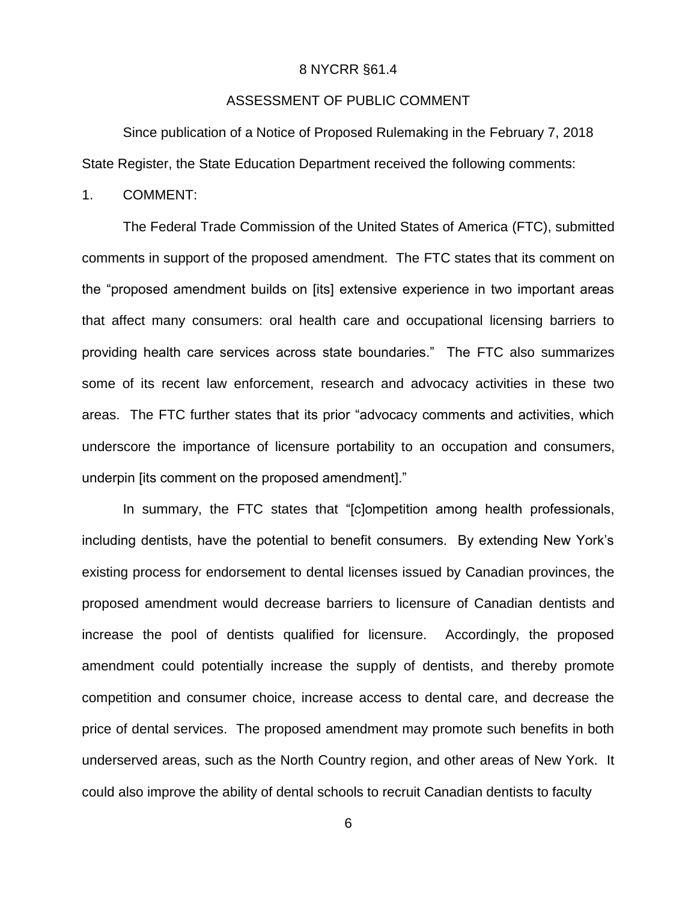#### 8 NYCRR §61.4

### ASSESSMENT OF PUBLIC COMMENT

Since publication of a Notice of Proposed Rulemaking in the February 7, 2018 State Register, the State Education Department received the following comments:

1. COMMENT:

The Federal Trade Commission of the United States of America (FTC), submitted comments in support of the proposed amendment. The FTC states that its comment on the "proposed amendment builds on [its] extensive experience in two important areas that affect many consumers: oral health care and occupational licensing barriers to providing health care services across state boundaries." The FTC also summarizes some of its recent law enforcement, research and advocacy activities in these two areas. The FTC further states that its prior "advocacy comments and activities, which underscore the importance of licensure portability to an occupation and consumers, underpin [its comment on the proposed amendment]."

In summary, the FTC states that "[c]ompetition among health professionals, including dentists, have the potential to benefit consumers. By extending New York's existing process for endorsement to dental licenses issued by Canadian provinces, the proposed amendment would decrease barriers to licensure of Canadian dentists and increase the pool of dentists qualified for licensure. Accordingly, the proposed amendment could potentially increase the supply of dentists, and thereby promote competition and consumer choice, increase access to dental care, and decrease the price of dental services. The proposed amendment may promote such benefits in both underserved areas, such as the North Country region, and other areas of New York. It could also improve the ability of dental schools to recruit Canadian dentists to faculty

6